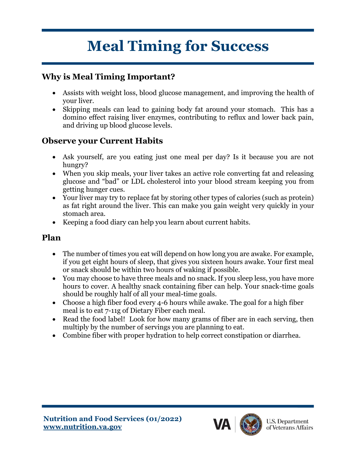# **Meal Timing for Success**

# **Why is Meal Timing Important?**

- Assists with weight loss, blood glucose management, and improving the health of your liver.
- Skipping meals can lead to gaining body fat around your stomach. This has a domino effect raising liver enzymes, contributing to reflux and lower back pain, and driving up blood glucose levels.

## **Observe your Current Habits**

- Ask yourself, are you eating just one meal per day? Is it because you are not hungry?
- When you skip meals, your liver takes an active role converting fat and releasing glucose and "bad" or LDL cholesterol into your blood stream keeping you from getting hunger cues.
- Your liver may try to replace fat by storing other types of calories (such as protein) as fat right around the liver. This can make you gain weight very quickly in your stomach area.
- Keeping a food diary can help you learn about current habits.

#### **Plan**

- The number of times you eat will depend on how long you are awake. For example, if you get eight hours of sleep, that gives you sixteen hours awake. Your first meal or snack should be within two hours of waking if possible.
- You may choose to have three meals and no snack. If you sleep less, you have more hours to cover. A healthy snack containing fiber can help. Your snack-time goals should be roughly half of all your meal-time goals.
- Choose a high fiber food every 4-6 hours while awake. The goal for a high fiber meal is to eat 7-11g of Dietary Fiber each meal.
- Read the food label! Look for how many grams of fiber are in each serving, then multiply by the number of servings you are planning to eat.
- Combine fiber with proper hydration to help correct constipation or diarrhea.